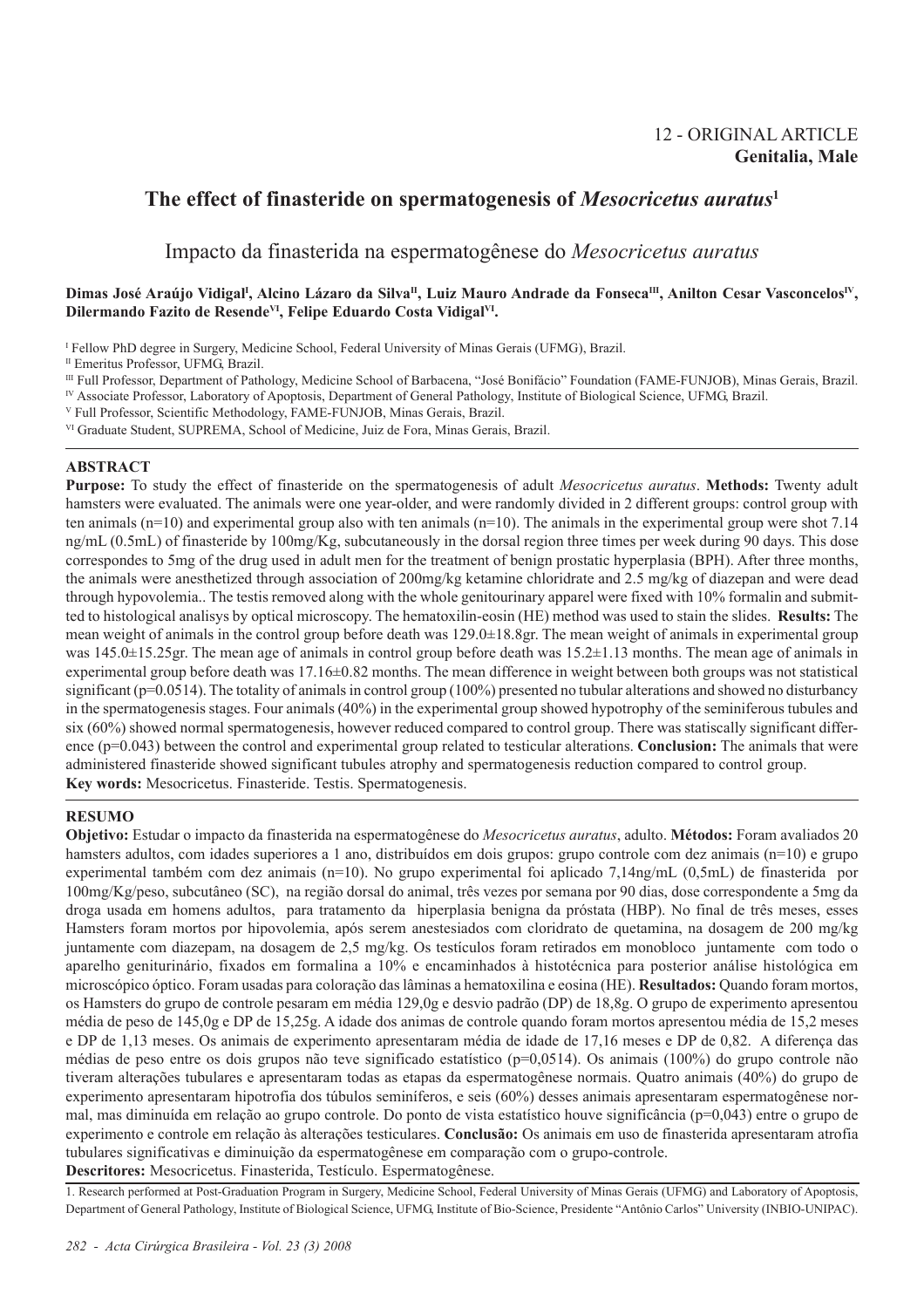# 12 - ORIGINAL ARTICLE **Genitalia, Male**

# **The effect of finasteride on spermatogenesis of** *Mesocricetus auratus***<sup>1</sup>**

Impacto da finasterida na espermatogênese do *Mesocricetus auratus*

# Dimas José Araújo Vidigal<sup>i</sup>, Alcino Lázaro da Silva<sup>n</sup>, Luiz Mauro Andrade da Fonseca<sup>m</sup>, Anilton Cesar Vasconcelos<sup>IV</sup>, **Dilermando Fazito de ResendeVI, Felipe Eduardo Costa VidigalVI.**

I Fellow PhD degree in Surgery, Medicine School, Federal University of Minas Gerais (UFMG), Brazil.

<sup>II</sup> Emeritus Professor, UFMG, Brazil.

III Full Professor, Department of Pathology, Medicine School of Barbacena, "José Bonifácio" Foundation (FAME-FUNJOB), Minas Gerais, Brazil. IV Associate Professor, Laboratory of Apoptosis, Department of General Pathology, Institute of Biological Science, UFMG, Brazil.

- V Full Professor, Scientific Methodology, FAME-FUNJOB, Minas Gerais, Brazil.
- VI Graduate Student, SUPREMA, School of Medicine, Juiz de Fora, Minas Gerais, Brazil.

## **ABSTRACT**

**Purpose:** To study the effect of finasteride on the spermatogenesis of adult *Mesocricetus auratus*. **Methods:** Twenty adult hamsters were evaluated. The animals were one year-older, and were randomly divided in 2 different groups: control group with ten animals ( $n=10$ ) and experimental group also with ten animals  $(n=10)$ . The animals in the experimental group were shot 7.14 ng/mL (0.5mL) of finasteride by 100mg/Kg, subcutaneously in the dorsal region three times per week during 90 days. This dose correspondes to 5mg of the drug used in adult men for the treatment of benign prostatic hyperplasia (BPH). After three months, the animals were anesthetized through association of 200mg/kg ketamine chloridrate and 2.5 mg/kg of diazepan and were dead through hypovolemia.. The testis removed along with the whole genitourinary apparel were fixed with 10% formalin and submitted to histological analisys by optical microscopy. The hematoxilin-eosin (HE) method was used to stain the slides. **Results:** The mean weight of animals in the control group before death was 129.0±18.8gr. The mean weight of animals in experimental group was 145.0±15.25gr. The mean age of animals in control group before death was 15.2±1.13 months. The mean age of animals in experimental group before death was 17.16±0.82 months. The mean difference in weight between both groups was not statistical significant (p=0.0514). The totality of animals in control group (100%) presented no tubular alterations and showed no disturbancy in the spermatogenesis stages. Four animals (40%) in the experimental group showed hypotrophy of the seminiferous tubules and six (60%) showed normal spermatogenesis, however reduced compared to control group. There was statiscally significant difference (p=0.043) between the control and experimental group related to testicular alterations. **Conclusion:** The animals that were administered finasteride showed significant tubules atrophy and spermatogenesis reduction compared to control group. **Key words:** Mesocricetus. Finasteride. Testis. Spermatogenesis.

# **RESUMO**

**Objetivo:** Estudar o impacto da finasterida na espermatogênese do *Mesocricetus auratus*, adulto. **Métodos:** Foram avaliados 20 hamsters adultos, com idades superiores a 1 ano, distribuídos em dois grupos: grupo controle com dez animais (n=10) e grupo experimental também com dez animais (n=10). No grupo experimental foi aplicado 7,14ng/mL (0,5mL) de finasterida por 100mg/Kg/peso, subcutâneo (SC), na região dorsal do animal, três vezes por semana por 90 dias, dose correspondente a 5mg da droga usada em homens adultos, para tratamento da hiperplasia benigna da próstata (HBP). No final de três meses, esses Hamsters foram mortos por hipovolemia, após serem anestesiados com cloridrato de quetamina, na dosagem de 200 mg/kg juntamente com diazepam, na dosagem de 2,5 mg/kg. Os testículos foram retirados em monobloco juntamente com todo o aparelho geniturinário, fixados em formalina a 10% e encaminhados à histotécnica para posterior análise histológica em microscópico óptico. Foram usadas para coloração das lâminas a hematoxilina e eosina (HE). **Resultados:** Quando foram mortos, os Hamsters do grupo de controle pesaram em média 129,0g e desvio padrão (DP) de 18,8g. O grupo de experimento apresentou média de peso de 145,0g e DP de 15,25g. A idade dos animas de controle quando foram mortos apresentou média de 15,2 meses e DP de 1,13 meses. Os animais de experimento apresentaram média de idade de 17,16 meses e DP de 0,82. A diferença das médias de peso entre os dois grupos não teve significado estatístico (p=0,0514). Os animais (100%) do grupo controle não tiveram alterações tubulares e apresentaram todas as etapas da espermatogênese normais. Quatro animais (40%) do grupo de experimento apresentaram hipotrofia dos túbulos seminíferos, e seis (60%) desses animais apresentaram espermatogênese normal, mas diminuída em relação ao grupo controle. Do ponto de vista estatístico houve significância (p=0,043) entre o grupo de experimento e controle em relação às alterações testiculares. **Conclusão:** Os animais em uso de finasterida apresentaram atrofia tubulares significativas e diminuição da espermatogênese em comparação com o grupo-controle. **Descritores:** Mesocricetus. Finasterida, Testículo. Espermatogênese.

1. Research performed at Post-Graduation Program in Surgery, Medicine School, Federal University of Minas Gerais (UFMG) and Laboratory of Apoptosis, Department of General Pathology, Institute of Biological Science, UFMG, Institute of Bio-Science, Presidente "Antônio Carlos" University (INBIO-UNIPAC).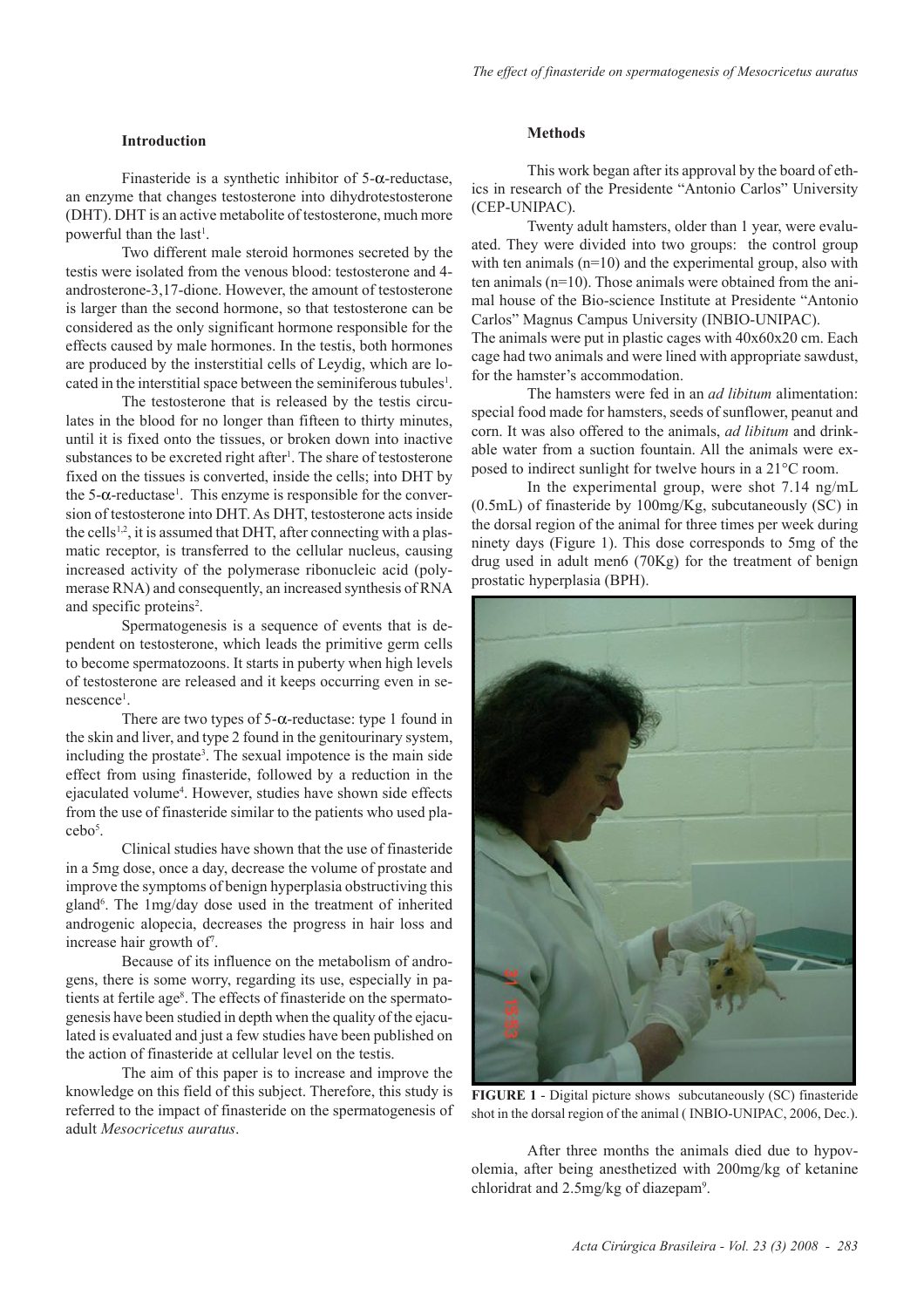### **Introduction**

Finasteride is a synthetic inhibitor of  $5-\alpha$ -reductase, an enzyme that changes testosterone into dihydrotestosterone (DHT). DHT is an active metabolite of testosterone, much more powerful than the last<sup>1</sup>.

Two different male steroid hormones secreted by the testis were isolated from the venous blood: testosterone and 4 androsterone-3,17-dione. However, the amount of testosterone is larger than the second hormone, so that testosterone can be considered as the only significant hormone responsible for the effects caused by male hormones. In the testis, both hormones are produced by the insterstitial cells of Leydig, which are located in the interstitial space between the seminiferous tubules<sup>1</sup>.

The testosterone that is released by the testis circulates in the blood for no longer than fifteen to thirty minutes, until it is fixed onto the tissues, or broken down into inactive substances to be excreted right after<sup>1</sup>. The share of testosterone fixed on the tissues is converted, inside the cells; into DHT by the 5- $\alpha$ -reductase<sup>1</sup>. This enzyme is responsible for the conversion of testosterone into DHT. As DHT, testosterone acts inside the cells<sup>1,2</sup>, it is assumed that DHT, after connecting with a plasmatic receptor, is transferred to the cellular nucleus, causing increased activity of the polymerase ribonucleic acid (polymerase RNA) and consequently, an increased synthesis of RNA and specific proteins<sup>2</sup>.

Spermatogenesis is a sequence of events that is dependent on testosterone, which leads the primitive germ cells to become spermatozoons. It starts in puberty when high levels of testosterone are released and it keeps occurring even in senescence<sup>1</sup>.

There are two types of  $5$ - $\alpha$ -reductase: type 1 found in the skin and liver, and type 2 found in the genitourinary system, including the prostate<sup>3</sup>. The sexual impotence is the main side effect from using finasteride, followed by a reduction in the ejaculated volume<sup>4</sup>. However, studies have shown side effects from the use of finasteride similar to the patients who used placebo5 .

Clinical studies have shown that the use of finasteride in a 5mg dose, once a day, decrease the volume of prostate and improve the symptoms of benign hyperplasia obstructiving this gland<sup>6</sup>. The 1mg/day dose used in the treatment of inherited androgenic alopecia, decreases the progress in hair loss and increase hair growth of7 .

Because of its influence on the metabolism of androgens, there is some worry, regarding its use, especially in patients at fertile age<sup>8</sup>. The effects of finasteride on the spermatogenesis have been studied in depth when the quality of the ejaculated is evaluated and just a few studies have been published on the action of finasteride at cellular level on the testis.

The aim of this paper is to increase and improve the knowledge on this field of this subject. Therefore, this study is referred to the impact of finasteride on the spermatogenesis of adult *Mesocricetus auratus*.

# **Methods**

This work began after its approval by the board of ethics in research of the Presidente "Antonio Carlos" University (CEP-UNIPAC).

Twenty adult hamsters, older than 1 year, were evaluated. They were divided into two groups: the control group with ten animals  $(n=10)$  and the experimental group, also with ten animals (n=10). Those animals were obtained from the animal house of the Bio-science Institute at Presidente "Antonio Carlos" Magnus Campus University (INBIO-UNIPAC).

The animals were put in plastic cages with 40x60x20 cm. Each cage had two animals and were lined with appropriate sawdust, for the hamster's accommodation.

The hamsters were fed in an *ad libitum* alimentation: special food made for hamsters, seeds of sunflower, peanut and corn. It was also offered to the animals, *ad libitum* and drinkable water from a suction fountain. All the animals were exposed to indirect sunlight for twelve hours in a 21°C room.

In the experimental group, were shot 7.14 ng/mL (0.5mL) of finasteride by 100mg/Kg, subcutaneously (SC) in the dorsal region of the animal for three times per week during ninety days (Figure 1). This dose corresponds to 5mg of the drug used in adult men6 (70Kg) for the treatment of benign prostatic hyperplasia (BPH).



**FIGURE 1** - Digital picture shows subcutaneously (SC) finasteride shot in the dorsal region of the animal ( INBIO-UNIPAC, 2006, Dec.).

After three months the animals died due to hypovolemia, after being anesthetized with 200mg/kg of ketanine chloridrat and 2.5mg/kg of diazepam<sup>9</sup>.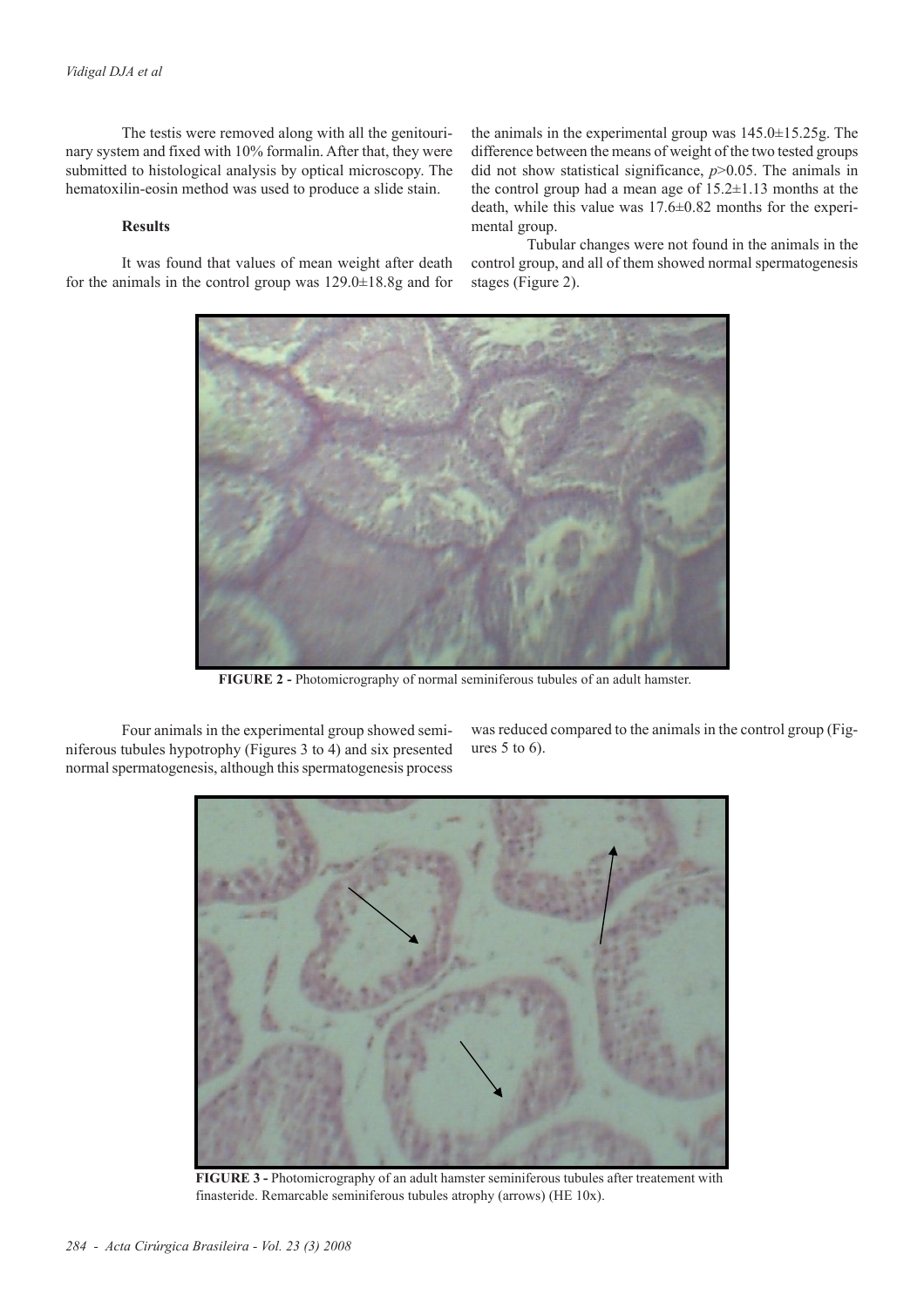The testis were removed along with all the genitourinary system and fixed with 10% formalin. After that, they were submitted to histological analysis by optical microscopy. The hematoxilin-eosin method was used to produce a slide stain.

### **Results**

It was found that values of mean weight after death for the animals in the control group was 129.0±18.8g and for the animals in the experimental group was 145.0±15.25g. The difference between the means of weight of the two tested groups did not show statistical significance, *p*>0.05. The animals in the control group had a mean age of 15.2±1.13 months at the death, while this value was 17.6±0.82 months for the experimental group.

Tubular changes were not found in the animals in the control group, and all of them showed normal spermatogenesis stages (Figure 2).



**FIGURE 2 -** Photomicrography of normal seminiferous tubules of an adult hamster.

Four animals in the experimental group showed seminiferous tubules hypotrophy (Figures 3 to 4) and six presented normal spermatogenesis, although this spermatogenesis process

was reduced compared to the animals in the control group (Figures 5 to 6).



**FIGURE 3 -** Photomicrography of an adult hamster seminiferous tubules after treatement with finasteride. Remarcable seminiferous tubules atrophy (arrows) (HE 10x).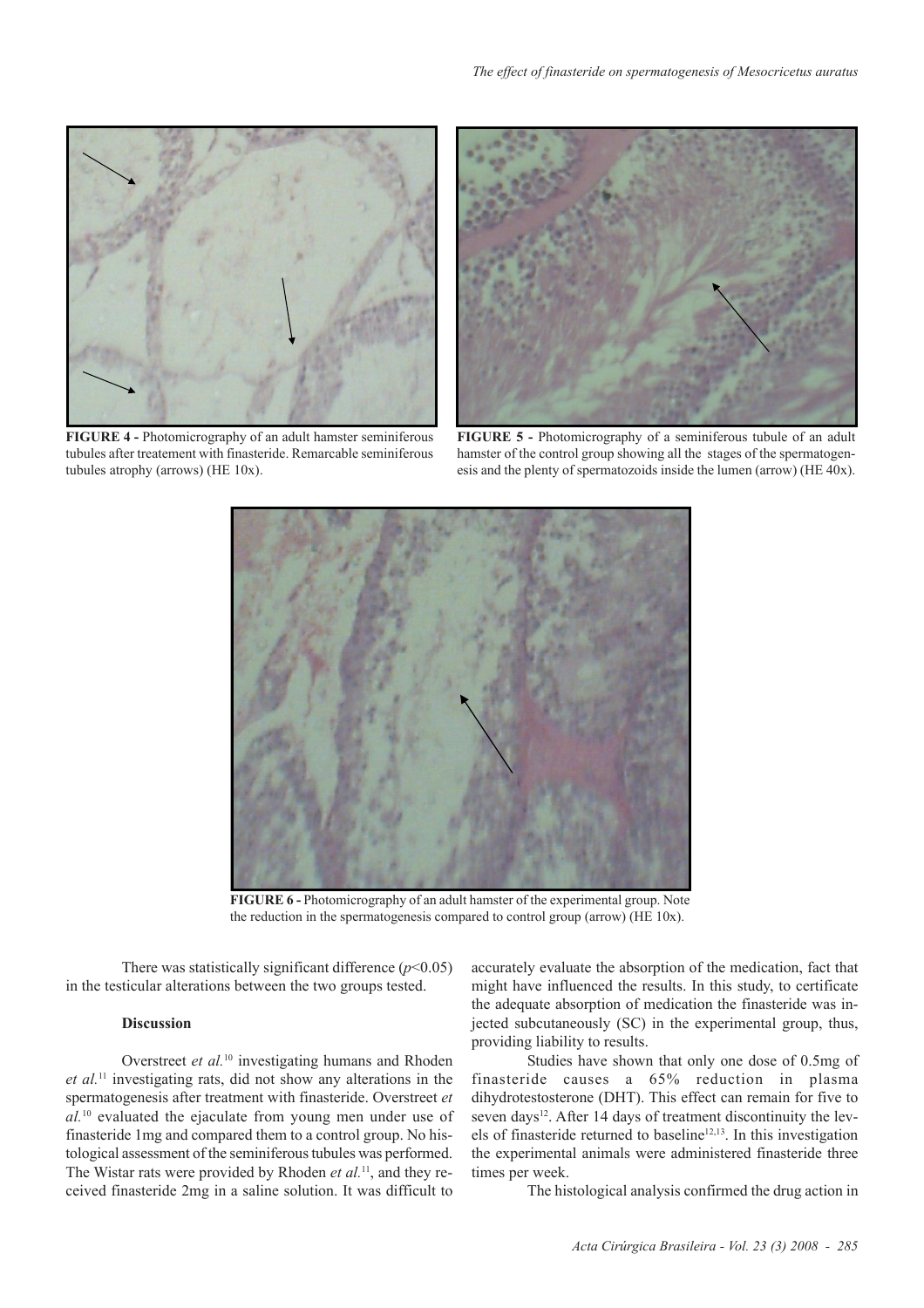

**FIGURE 4 -** Photomicrography of an adult hamster seminiferous tubules after treatement with finasteride. Remarcable seminiferous tubules atrophy (arrows) (HE 10x).



**FIGURE 5 -** Photomicrography of a seminiferous tubule of an adult hamster of the control group showing all the stages of the spermatogenesis and the plenty of spermatozoids inside the lumen (arrow) (HE 40x).



**FIGURE 6 -** Photomicrography of an adult hamster of the experimental group. Note the reduction in the spermatogenesis compared to control group (arrow) (HE 10x).

There was statistically significant difference  $(p<0.05)$ in the testicular alterations between the two groups tested.

### **Discussion**

Overstreet *et al.*10 investigating humans and Rhoden *et al.*11 investigating rats, did not show any alterations in the spermatogenesis after treatment with finasteride. Overstreet *et al.*10 evaluated the ejaculate from young men under use of finasteride 1mg and compared them to a control group. No histological assessment of the seminiferous tubules was performed. The Wistar rats were provided by Rhoden *et al.*11, and they received finasteride 2mg in a saline solution. It was difficult to

accurately evaluate the absorption of the medication, fact that might have influenced the results. In this study, to certificate the adequate absorption of medication the finasteride was injected subcutaneously (SC) in the experimental group, thus, providing liability to results.

Studies have shown that only one dose of 0.5mg of finasteride causes a 65% reduction in plasma dihydrotestosterone (DHT). This effect can remain for five to seven days<sup>12</sup>. After 14 days of treatment discontinuity the levels of finasteride returned to baseline<sup>12,13</sup>. In this investigation the experimental animals were administered finasteride three times per week.

The histological analysis confirmed the drug action in